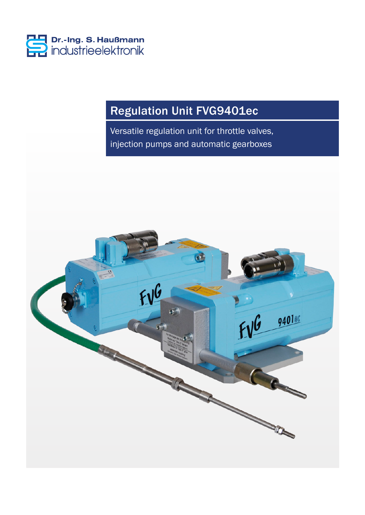

# Regulation Unit FVG9401ec

Versatile regulation unit for throttle valves, injection pumps and automatic gearboxes

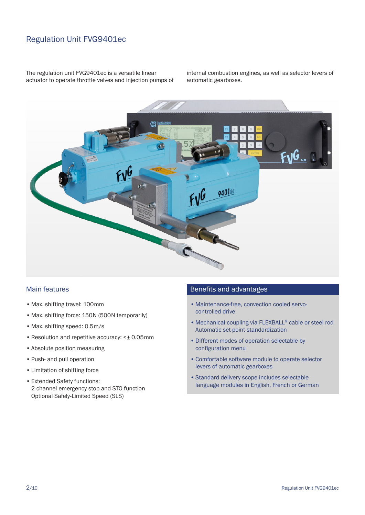### Regulation Unit FVG9401ec

The regulation unit FVG9401ec is a versatile linear actuator to operate throttle valves and injection pumps of internal combustion engines, as well as selector levers of automatic gearboxes.



#### Main features

- Max. shifting travel: 100mm
- Max. shifting force: 150N (500N temporarily)
- Max. shifting speed: 0.5m/s
- Resolution and repetitive accuracy: <± 0.05mm
- Absolute position measuring
- Push- and pull operation
- Limitation of shifting force
- Extended Safety functions: 2-channel emergency stop and STO function Optional Safely-Limited Speed (SLS)

#### Benefits and advantages

- Maintenance-free, convection cooled servocontrolled drive
- Mechanical coupling via FLEXBALL® cable or steel rod Automatic set-point standardization
- Different modes of operation selectable by configuration menu
- Comfortable software module to operate selector levers of automatic gearboxes
- Standard delivery scope includes selectable language modules in English, French or German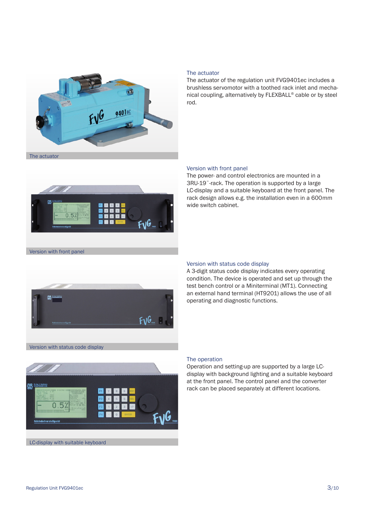

#### The actuator

The actuator of the regulation unit FVG9401ec includes a brushless servomotor with a toothed rack inlet and mechanical coupling, alternatively by FLEXBALL® cable or by steel rod.



#### Version with front panel

The power- and control electronics are mounted in a 3RU-19¨-rack. The operation is supported by a large LC-display and a suitable keyboard at the front panel. The rack design allows e.g. the installation even in a 600mm wide switch cabinet.





#### Version with status code display

A 3-digit status code display indicates every operating condition. The device is operated and set up through the test bench control or a Miniterminal (MT1). Connecting an external hand terminal (HT9201) allows the use of all operating and diagnostic functions.

Version with status code display



#### The operation

Operation and setting-up are supported by a large LCdisplay with background lighting and a suitable keyboard at the front panel. The control panel and the converter rack can be placed separately at different locations.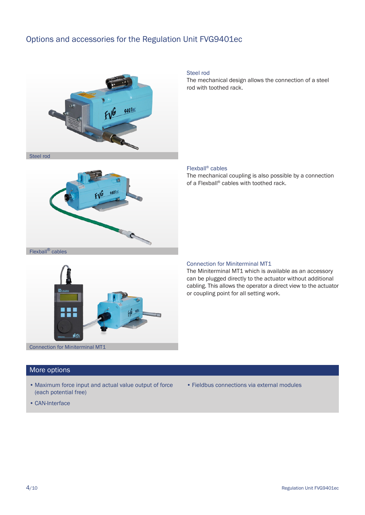### Options and accessories for the Regulation Unit FVG9401ec



Steel rod

The mechanical design allows the connection of a steel rod with toothed rack.

#### Flexball® cables

The mechanical coupling is also possible by a connection of a Flexball® cables with toothed rack.





#### Connection for Miniterminal MT1

The Miniterminal MT1 which is available as an accessory can be plugged directly to the actuator without additional cabling. This allows the operator a direct view to the actuator or coupling point for all setting work.

#### Connection for Miniterminal MT1

#### More options

- Maximum force input and actual value output of force (each potential free)
- Fieldbus connections via external modules

• CAN-Interface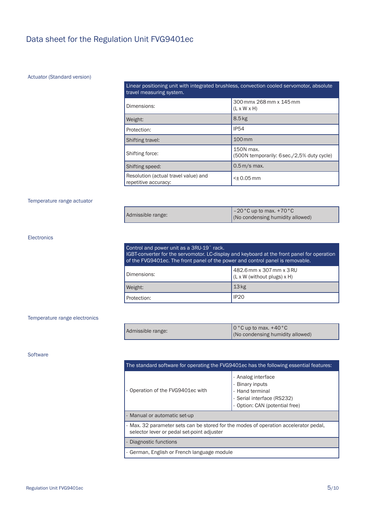### Data sheet for the Regulation Unit FVG9401ec

#### Actuator (Standard version)

#### Linear positioning unit with integrated brushless, convection cooled servomotor, absolute travel measuring system.

| Dimensions:                                                  | 300 mmx 268 mm x 145 mm<br>$(L \times W \times H)$      |
|--------------------------------------------------------------|---------------------------------------------------------|
| Weight:                                                      | 8.5 <sub>kg</sub>                                       |
| Protection:                                                  | <b>IP54</b>                                             |
| Shifting travel:                                             | 100 mm                                                  |
| Shifting force:                                              | 150N max.<br>(500N temporarily: 6 sec./2,5% duty cycle) |
| Shifting speed:                                              | $0.5m$ /s max.                                          |
| Resolution (actual travel value) and<br>repetitive accuracy: | $<$ ± 0.05 mm                                           |

#### Temperature range actuator

|                   | $\vert$ -20 °C up to max. +70 °C |
|-------------------|----------------------------------|
| Admissible range: | (No condensing humidity allowed) |

#### Electronics

| Control and power unit as a 3RU-19" rack.<br>IGBT-converter for the servomotor. LC-display and keyboard at the front panel for operation<br>of the FVG9401ec. The front panel of the power and control panel is removable. |                                                           |
|----------------------------------------------------------------------------------------------------------------------------------------------------------------------------------------------------------------------------|-----------------------------------------------------------|
| Dimensions:                                                                                                                                                                                                                | $482.6$ mm x 307 mm x 3 RU<br>(L x W (without plugs) x H) |
| Weight:                                                                                                                                                                                                                    | 13 <sub>kg</sub>                                          |
| Protection:                                                                                                                                                                                                                | IP <sub>20</sub>                                          |

#### Temperature range electronics

| Admissible range: | $\int$ 0 °C up to max. +40 °C    |
|-------------------|----------------------------------|
|                   | (No condensing humidity allowed) |

#### **Software**

| The standard software for operating the FVG9401ec has the following essential features:                                            |                                                                                                                               |  |
|------------------------------------------------------------------------------------------------------------------------------------|-------------------------------------------------------------------------------------------------------------------------------|--|
| Operation of the FVG9401ec with                                                                                                    | - Analog interface<br><b>Binary inputs</b><br>- Hand terminal<br>- Serial interface (RS232)<br>- Option: CAN (potential free) |  |
| - Manual or automatic set-up                                                                                                       |                                                                                                                               |  |
| - Max. 32 parameter sets can be stored for the modes of operation accelerator pedal.<br>selector lever or pedal set-point adjuster |                                                                                                                               |  |
| Diagnostic functions                                                                                                               |                                                                                                                               |  |
| - German, English or French language module                                                                                        |                                                                                                                               |  |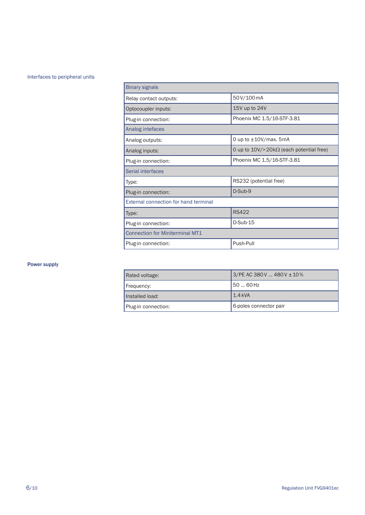#### Interfaces to peripheral units

| <b>Binary signals</b>                        |                                                       |  |
|----------------------------------------------|-------------------------------------------------------|--|
| Relay contact outputs:                       | 50V/100 mA                                            |  |
| Optocoupler inputs:                          | 15V up to 24V                                         |  |
| Plug-in connection:                          | Phoenix MC 1.5/16-STF-3.81                            |  |
| Analog intefaces                             |                                                       |  |
| Analog outputs:                              | 0 up to $\pm$ 10V/max. 5mA                            |  |
| Analog inputs:                               | 0 up to $10\frac{V}{20k\Omega}$ (each potential free) |  |
| Plug-in connection:                          | Phoenix MC 1.5/16-STF-3.81                            |  |
| Serial interfaces                            |                                                       |  |
| Type:                                        | RS232 (potential free)                                |  |
| Plug-in connection:                          | D-Sub-9                                               |  |
| <b>External connection for hand terminal</b> |                                                       |  |
| Type:                                        | <b>RS422</b>                                          |  |
| Plug-in connection:                          | D-Sub-15                                              |  |
| <b>Connection for Miniterminal MT1</b>       |                                                       |  |
| Plug-in connection:                          | Push-Pull                                             |  |

#### Power supply

| Rated voltage:      | $3/PE$ AC 380V  480V $\pm$ 10% |
|---------------------|--------------------------------|
| Frequency:          | 150  60 Hz                     |
| Installed load:     | $1.4$ kVA                      |
| Plug-in connection: | 6-poles connector pair         |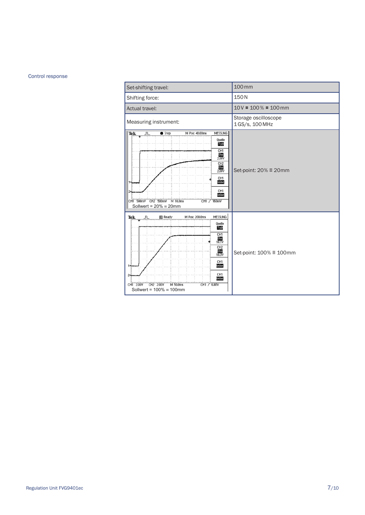#### Control response

| Set-shifting travel:                                                                                                                                                                                                                                                                                                                | 100 mm                                 |  |
|-------------------------------------------------------------------------------------------------------------------------------------------------------------------------------------------------------------------------------------------------------------------------------------------------------------------------------------|----------------------------------------|--|
| Shifting force:                                                                                                                                                                                                                                                                                                                     | 150N                                   |  |
| Actual travel:                                                                                                                                                                                                                                                                                                                      | $10V = 100% = 100$ mm                  |  |
| Measuring instrument:                                                                                                                                                                                                                                                                                                               | Storage oscilloscope<br>1GS/s, 100 MHz |  |
| <b>Tek</b><br>$\bullet$ Stop<br>M Pos: 40,00ms<br>MESSUNG<br>JΠ.<br>Quelle<br>Typ<br>CH <sub>1</sub><br>$\frac{\text{Uss}}{2.08}$<br>CH <sub>2</sub><br>$\frac{\text{Uss}}{2.08}$<br>CH1<br>keine<br>CH1<br>keine<br>CH1 500mV CH2 500mV M 10.0ms<br>CH1 / 160mV<br>Sollwert = $20\%$ = 20mm                                        | Set-point: $20\% \equiv 20$ mm         |  |
| MESSUNG<br>M Pos: 200.0ms<br><b>图 Ready</b><br>Tek<br>"⊓…<br>Quelle<br>Typ<br>CH <sub>1</sub><br>$\frac{\text{Uss}}{10.1}$<br>CH <sub>2</sub><br>$\frac{\text{Uss}}{10.3\text{V}}$<br>CH <sub>1</sub><br>keine<br>CH <sub>1</sub><br>keine<br>CH2 2.00V<br>M 50,0ms<br>CH1 / 6.08V<br>CH1 2.00V<br>Sollwert = $100\% \equiv 100$ mm | Set-point: 100% ≡ 100mm                |  |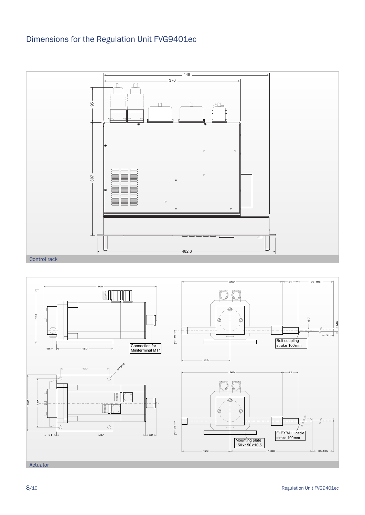## Dimensions for the Regulation Unit FVG9401ec



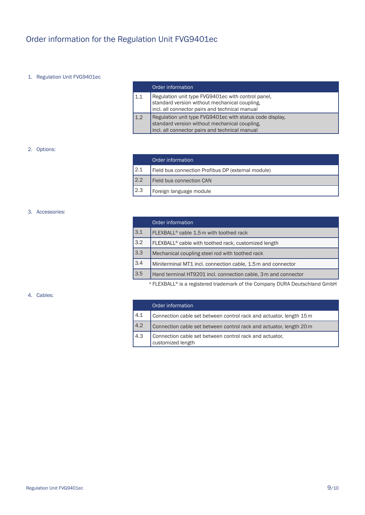## Order information for the Regulation Unit FVG9401ec

#### 1. Regulation Unit FVG9401ec

|     | Order information                                                                                                                                           |
|-----|-------------------------------------------------------------------------------------------------------------------------------------------------------------|
| 1.1 | Regulation unit type FVG9401ec with control panel,<br>standard version without mechanical coupling,<br>incl. all connector pairs and technical manual       |
| 1.2 | Regulation unit type FVG9401ec with status code display,<br>standard version without mechanical coupling,<br>incl. all connector pairs and technical manual |

#### 2. Options:

|     | Order information                                  |
|-----|----------------------------------------------------|
| 2.1 | Field bus connection Profibus DP (external module) |
| 2.2 | Field bus connection CAN                           |
| 2.3 | Foreign language module                            |

#### 3. Accessories:

|     | Order information                                                |
|-----|------------------------------------------------------------------|
| 3.1 | FLEXBALL <sup>®</sup> cable 1.5 m with toothed rack              |
| 3.2 | FLEXBALL <sup>®</sup> cable with toothed rack, customized length |
| 3.3 | Mechanical coupling steel rod with toothed rack                  |
| 3.4 | Miniterminal MT1 incl. connection cable, 1.5 m and connector     |
| 3.5 | Hand terminal HT9201 incl. connection cable, 3 m and connector   |
|     |                                                                  |

\*FLEXBALL® is a registered trademark of the Company DURA Deutschland GmbH

#### 4. Cables:

|     | Order information                                                            |
|-----|------------------------------------------------------------------------------|
| 4.1 | Connection cable set between control rack and actuator, length 15 m          |
| 4.2 | Connection cable set between control rack and actuator, length 20 m          |
| 4.3 | Connection cable set between control rack and actuator,<br>customized length |